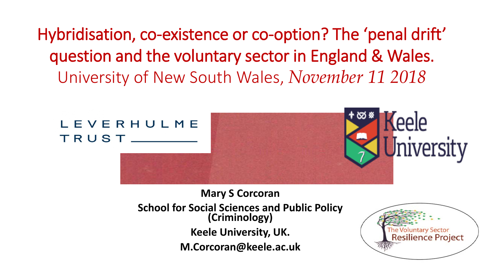Hybridisation, co-existence or co-option? The 'penal drift' question and the voluntary sector in England & Wales. University of New South Wales, *November 11 2018*



#### **Mary S Corcoran School for Social Sciences and Public Policy (Criminology) Keele University, UK. M.Corcoran@keele.ac.uk**

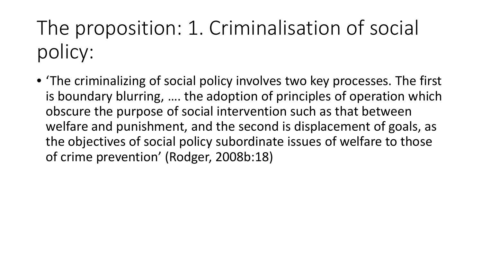The proposition: 1. Criminalisation of social policy:

• 'The criminalizing of social policy involves two key processes. The first is boundary blurring, …. the adoption of principles of operation which obscure the purpose of social intervention such as that between welfare and punishment, and the second is displacement of goals, as the objectives of social policy subordinate issues of welfare to those of crime prevention' (Rodger, 2008b:18)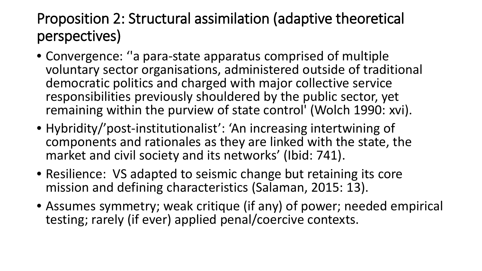#### Proposition 2: Structural assimilation (adaptive theoretical perspectives)

- Convergence: ''a para-state apparatus comprised of multiple voluntary sector organisations, administered outside of traditional democratic politics and charged with major collective service responsibilities previously shouldered by the public sector, yet remaining within the purview of state control' (Wolch 1990: xvi).
- Hybridity/'post-institutionalist': 'An increasing intertwining of components and rationales as they are linked with the state, the market and civil society and its networks' (Ibid: 741).
- Resilience: VS adapted to seismic change but retaining its core mission and defining characteristics (Salaman, 2015: 13).
- Assumes symmetry; weak critique (if any) of power; needed empirical testing; rarely (if ever) applied penal/coercive contexts.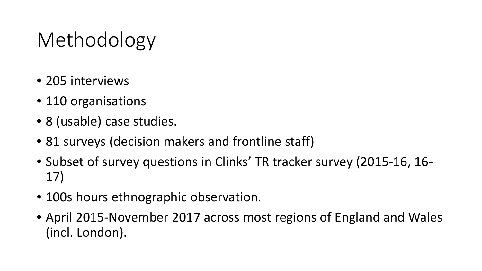# Methodology

- 205 interviews
- 110 organisations
- 8 (usable) case studies.
- 81 surveys (decision makers and frontline staff)
- Subset of survey questions in Clinks' TR tracker survey (2015-16, 16- 17)
- 100s hours ethnographic observation.
- April 2015-November 2017 across most regions of England and Wales (incl. London).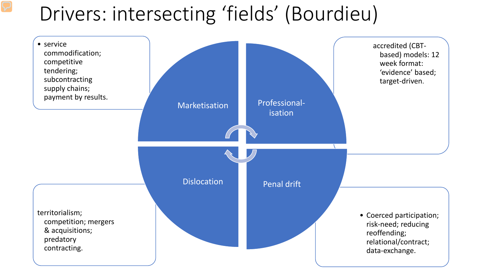## Drivers: intersecting 'fields' (Bourdieu)

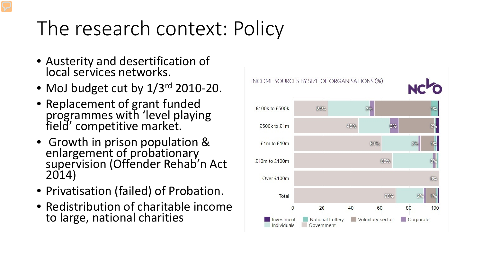# The research context: Policy

- Austerity and desertification of local services networks.
- MoJ budget cut by  $1/3^{rd}$  2010-20.
- Replacement of grant funded programmes with 'level playing field' competitive market.
- Growth in prison population & enlargement of probationary supervision (Offender Rehab'n Act 2014)
- Privatisation (failed) of Probation.
- Redistribution of charitable income to large, national charities

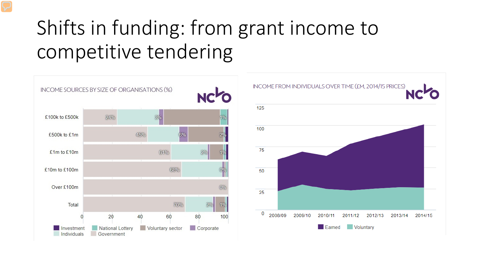# Shifts in funding: from grant income to competitive tendering

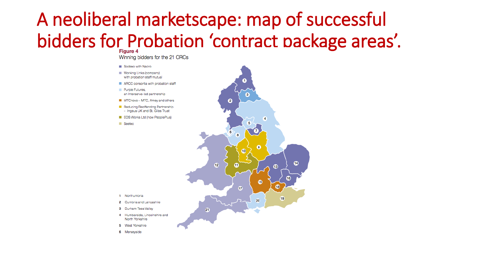## A neoliberal marketscape: map of successful bidders for Probation 'contract package areas'.

Winning bidders for the 21 CRCs

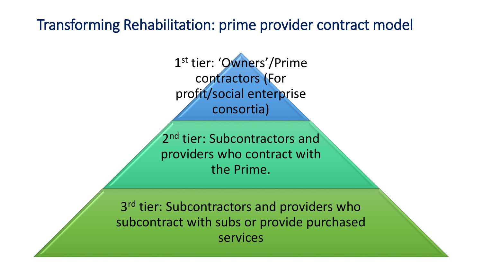#### Transforming Rehabilitation: prime provider contract model

1st tier: 'Owners'/Prime contractors (For profit/social enterprise consortia)

2<sup>nd</sup> tier: Subcontractors and providers who contract with the Prime.

3<sup>rd</sup> tier: Subcontractors and providers who subcontract with subs or provide purchased services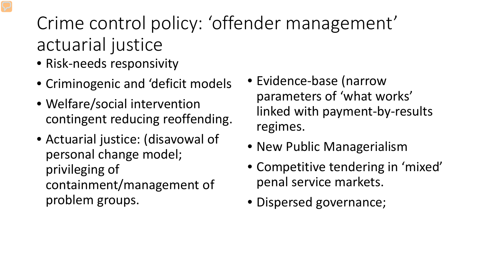## Crime control policy: 'offender management' actuarial justice

- Risk-needs responsivity
- Criminogenic and 'deficit models
- Welfare/social intervention contingent reducing reoffending.
- Actuarial justice: (disavowal of personal change model; privileging of containment/management of problem groups.
- Evidence-base (narrow parameters of 'what works' linked with payment-by-results regimes.
- New Public Managerialism
- Competitive tendering in 'mixed' penal service markets.
- Dispersed governance;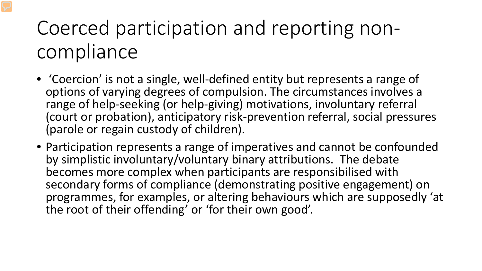# Coerced participation and reporting noncompliance

- 'Coercion' is not a single, well-defined entity but represents a range of options of varying degrees of compulsion. The circumstances involves a range of help-seeking (or help-giving) motivations, involuntary referral (court or probation), anticipatory risk-prevention referral, social pressures (parole or regain custody of children).
- Participation represents a range of imperatives and cannot be confounded by simplistic involuntary/voluntary binary attributions. The debate becomes more complex when participants are responsibilised with secondary forms of compliance (demonstrating positive engagement) on programmes, for examples, or altering behaviours which are supposedly 'at the root of their offending' or 'for their own good'.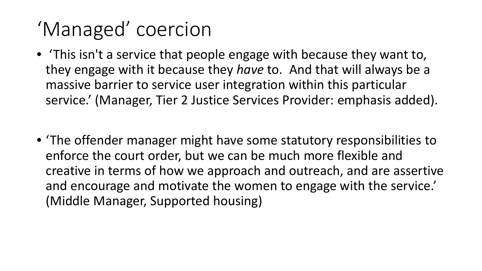# 'Managed' coercion

- 'This isn't a service that people engage with because they want to, they engage with it because they *have* to. And that will always be a massive barrier to service user integration within this particular service.' (Manager, Tier 2 Justice Services Provider: emphasis added).
- 'The offender manager might have some statutory responsibilities to enforce the court order, but we can be much more flexible and creative in terms of how we approach and outreach, and are assertive and encourage and motivate the women to engage with the service.' (Middle Manager, Supported housing)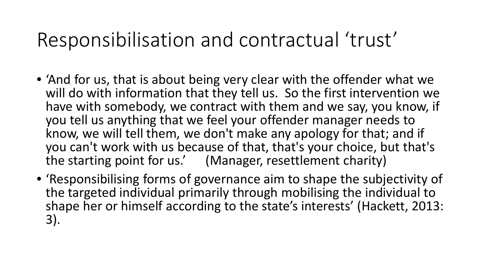## Responsibilisation and contractual 'trust'

- 'And for us, that is about being very clear with the offender what we will do with information that they tell us. So the first intervention we have with somebody, we contract with them and we say, you know, if you tell us anything that we feel your offender manager needs to know, we will tell them, we don't make any apology for that; and if you can't work with us because of that, that's your choice, but that's the starting point for us.' (Manager, resettlement charity)
- 'Responsibilising forms of governance aim to shape the subjectivity of the targeted individual primarily through mobilising the individual to shape her or himself according to the state's interests' (Hackett, 2013: 3).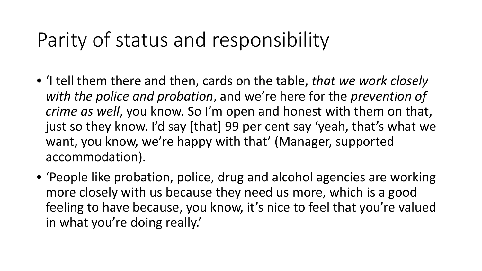## Parity of status and responsibility

- 'I tell them there and then, cards on the table, *that we work closely with the police and probation*, and we're here for the *prevention of crime as well*, you know. So I'm open and honest with them on that, just so they know. I'd say [that] 99 per cent say 'yeah, that's what we want, you know, we're happy with that' (Manager, supported accommodation).
- 'People like probation, police, drug and alcohol agencies are working more closely with us because they need us more, which is a good feeling to have because, you know, it's nice to feel that you're valued in what you're doing really.'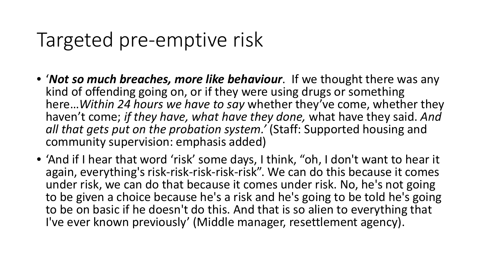## Targeted pre-emptive risk

- '*Not so much breaches, more like behaviour*. If we thought there was any kind of offending going on, or if they were using drugs or something here…*Within 24 hours we have to say* whether they've come, whether they haven't come; *if they have, what have they done,* what have they said. *And all that gets put on the probation system.'* (Staff: Supported housing and community supervision: emphasis added)
- 'And if I hear that word 'risk' some days, I think, "oh, I don't want to hear it again, everything's risk-risk-risk-risk-risk". We can do this because it comes under risk, we can do that because it comes under risk. No, he's not going to be given a choice because he's a risk and he's going to be told he's going to be on basic if he doesn't do this. And that is so alien to everything that I've ever known previously' (Middle manager, resettlement agency).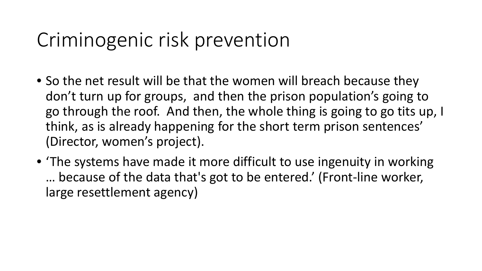## Criminogenic risk prevention

- So the net result will be that the women will breach because they don't turn up for groups, and then the prison population's going to go through the roof. And then, the whole thing is going to go tits up, I think, as is already happening for the short term prison sentences' (Director, women's project).
- 'The systems have made it more difficult to use ingenuity in working … because of the data that's got to be entered.' (Front-line worker, large resettlement agency)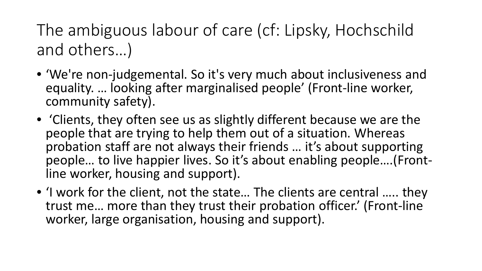The ambiguous labour of care (cf: Lipsky, Hochschild and others…)

- 'We're non-judgemental. So it's very much about inclusiveness and equality. … looking after marginalised people' (Front-line worker, community safety).
- 'Clients, they often see us as slightly different because we are the people that are trying to help them out of a situation. Whereas probation staff are not always their friends … it's about supporting people... to live happier lives. So it's about enabling people....(Front-<br>line worker, housing and support).
- I work for the client, not the state... The clients are central ..... they trust me… more than they trust their probation officer.' (Front-line worker, large organisation, housing and support).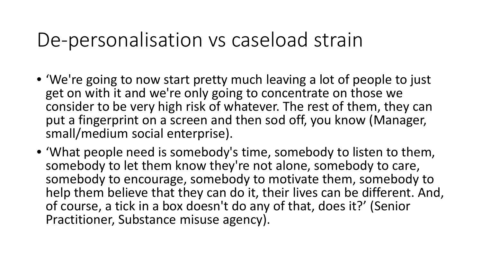#### De-personalisation vs caseload strain

- 'We're going to now start pretty much leaving a lot of people to just get on with it and we're only going to concentrate on those we consider to be very high risk of whatever. The rest of them, they can put a fingerprint on a screen and then sod off, you know (Manager, small/medium social enterprise).
- 'What people need is somebody's time, somebody to listen to them, somebody to let them know they're not alone, somebody to care, somebody to encourage, somebody to motivate them, somebody to help them believe that they can do it, their lives can be different. And, of course, a tick in a box doesn't do any of that, does it?' (Senior Practitioner, Substance misuse agency).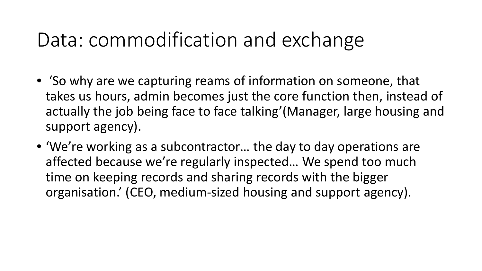## Data: commodification and exchange

- 'So why are we capturing reams of information on someone, that takes us hours, admin becomes just the core function then, instead of actually the job being face to face talking'(Manager, large housing and support agency).
- 'We're working as a subcontractor… the day to day operations are affected because we're regularly inspected… We spend too much time on keeping records and sharing records with the bigger organisation.' (CEO, medium-sized housing and support agency).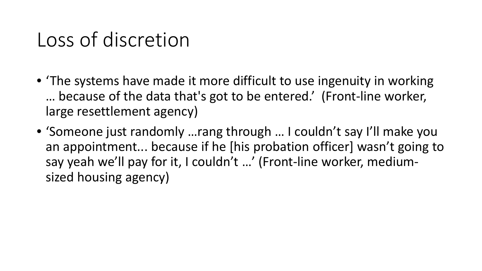## Loss of discretion

- The systems have made it more difficult to use ingenuity in working … because of the data that's got to be entered.' (Front-line worker, large resettlement agency)
- 'Someone just randomly …rang through … I couldn't say I'll make you an appointment... because if he [his probation officer] wasn't going to say yeah we'll pay for it, I couldn't …' (Front-line worker, mediumsized housing agency)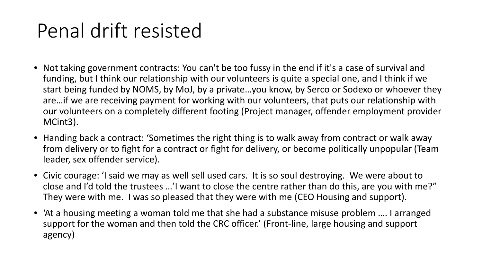## Penal drift resisted

- Not taking government contracts: You can't be too fussy in the end if it's a case of survival and funding, but I think our relationship with our volunteers is quite a special one, and I think if we start being funded by NOMS, by MoJ, by a private…you know, by Serco or Sodexo or whoever they are…if we are receiving payment for working with our volunteers, that puts our relationship with our volunteers on a completely different footing (Project manager, offender employment provider MCint3).
- Handing back a contract: 'Sometimes the right thing is to walk away from contract or walk away from delivery or to fight for a contract or fight for delivery, or become politically unpopular (Team leader, sex offender service).
- Civic courage: 'I said we may as well sell used cars. It is so soul destroying. We were about to close and I'd told the trustees …'I want to close the centre rather than do this, are you with me?" They were with me. I was so pleased that they were with me (CEO Housing and support).
- 'At a housing meeting a woman told me that she had a substance misuse problem …. I arranged support for the woman and then told the CRC officer.' (Front-line, large housing and support agency)